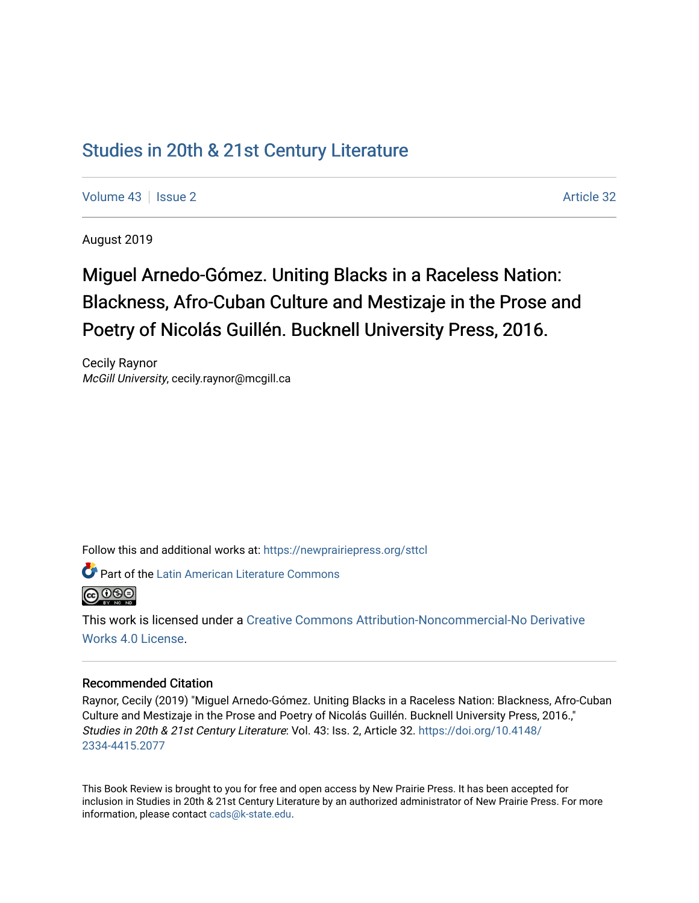## [Studies in 20th & 21st Century Literature](https://newprairiepress.org/sttcl)

[Volume 43](https://newprairiepress.org/sttcl/vol43) | [Issue 2](https://newprairiepress.org/sttcl/vol43/iss2) Article 32

August 2019

# Miguel Arnedo-Gómez. Uniting Blacks in a Raceless Nation: Blackness, Afro-Cuban Culture and Mestizaje in the Prose and Poetry of Nicolás Guillén. Bucknell University Press, 2016.

Cecily Raynor McGill University, cecily.raynor@mcgill.ca

Follow this and additional works at: [https://newprairiepress.org/sttcl](https://newprairiepress.org/sttcl?utm_source=newprairiepress.org%2Fsttcl%2Fvol43%2Fiss2%2F32&utm_medium=PDF&utm_campaign=PDFCoverPages) 

**Part of the Latin American Literature Commons** 



This work is licensed under a [Creative Commons Attribution-Noncommercial-No Derivative](https://creativecommons.org/licenses/by-nc-nd/4.0/)  [Works 4.0 License](https://creativecommons.org/licenses/by-nc-nd/4.0/).

#### Recommended Citation

Raynor, Cecily (2019) "Miguel Arnedo-Gómez. Uniting Blacks in a Raceless Nation: Blackness, Afro-Cuban Culture and Mestizaje in the Prose and Poetry of Nicolás Guillén. Bucknell University Press, 2016.," Studies in 20th & 21st Century Literature: Vol. 43: Iss. 2, Article 32. [https://doi.org/10.4148/](https://doi.org/10.4148/2334-4415.2077) [2334-4415.2077](https://doi.org/10.4148/2334-4415.2077) 

This Book Review is brought to you for free and open access by New Prairie Press. It has been accepted for inclusion in Studies in 20th & 21st Century Literature by an authorized administrator of New Prairie Press. For more information, please contact [cads@k-state.edu](mailto:cads@k-state.edu).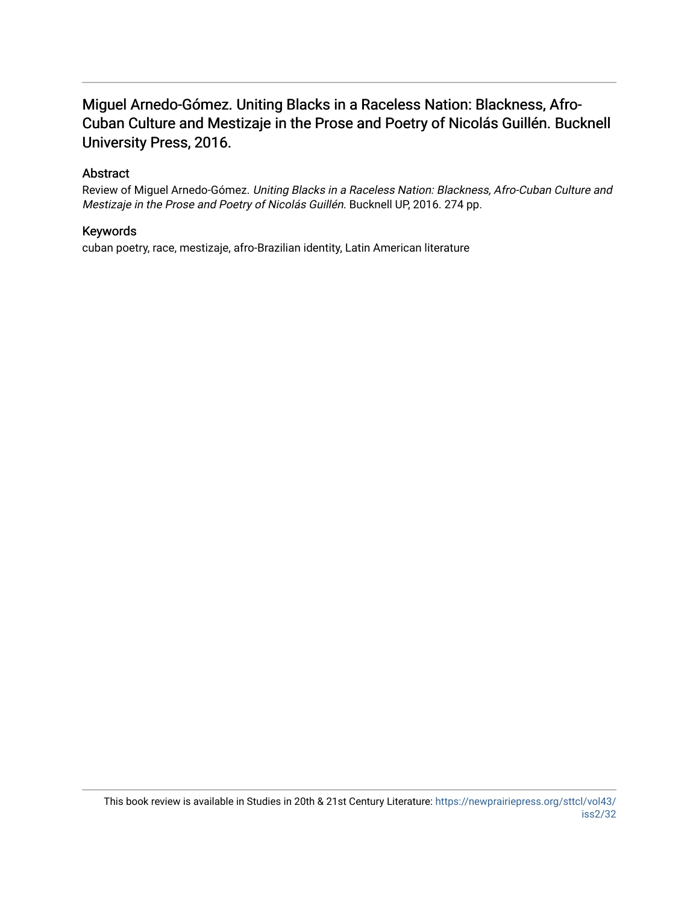### Miguel Arnedo-Gómez. Uniting Blacks in a Raceless Nation: Blackness, Afro-Cuban Culture and Mestizaje in the Prose and Poetry of Nicolás Guillén. Bucknell University Press, 2016.

### Abstract

Review of Miguel Arnedo-Gómez. Uniting Blacks in a Raceless Nation: Blackness, Afro-Cuban Culture and Mestizaje in the Prose and Poetry of Nicolás Guillén. Bucknell UP, 2016. 274 pp.

### Keywords

cuban poetry, race, mestizaje, afro-Brazilian identity, Latin American literature

This book review is available in Studies in 20th & 21st Century Literature: [https://newprairiepress.org/sttcl/vol43/](https://newprairiepress.org/sttcl/vol43/iss2/32) [iss2/32](https://newprairiepress.org/sttcl/vol43/iss2/32)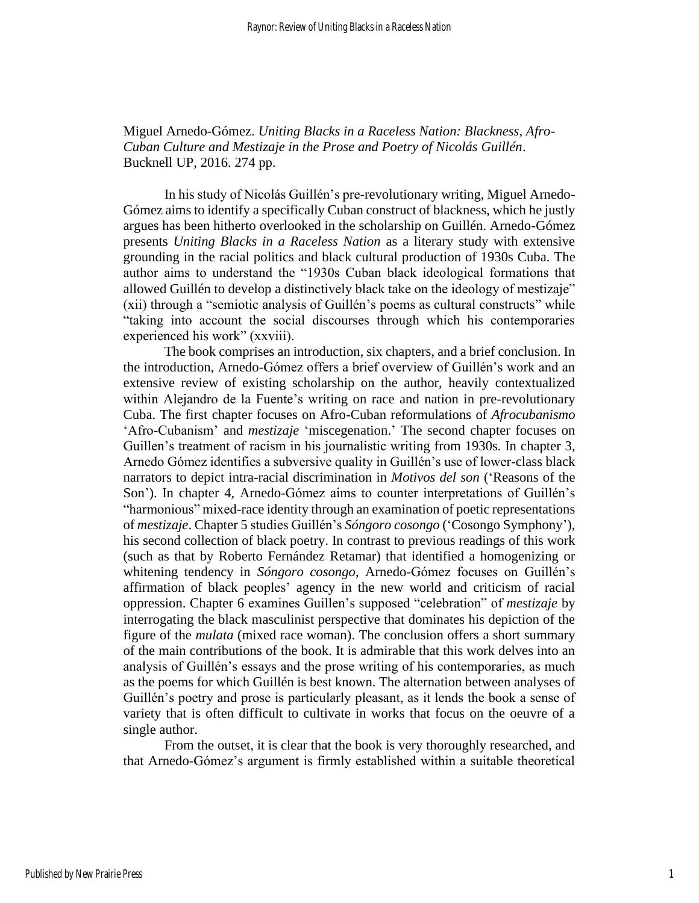Miguel Arnedo-Gómez. *Uniting Blacks in a Raceless Nation: Blackness, Afro-Cuban Culture and Mestizaje in the Prose and Poetry of Nicolás Guillén*. Bucknell UP, 2016. 274 pp.

In his study of Nicolás Guillén's pre-revolutionary writing, Miguel Arnedo-Gómez aims to identify a specifically Cuban construct of blackness, which he justly argues has been hitherto overlooked in the scholarship on Guillén. Arnedo-Gómez presents *Uniting Blacks in a Raceless Nation* as a literary study with extensive grounding in the racial politics and black cultural production of 1930s Cuba. The author aims to understand the "1930s Cuban black ideological formations that allowed Guillén to develop a distinctively black take on the ideology of mestizaje" (xii) through a "semiotic analysis of Guillén's poems as cultural constructs" while "taking into account the social discourses through which his contemporaries experienced his work" (xxviii).

The book comprises an introduction, six chapters, and a brief conclusion. In the introduction, Arnedo-Gómez offers a brief overview of Guillén's work and an extensive review of existing scholarship on the author, heavily contextualized within Alejandro de la Fuente's writing on race and nation in pre-revolutionary Cuba. The first chapter focuses on Afro-Cuban reformulations of *Afrocubanismo* 'Afro-Cubanism' and *mestizaje* 'miscegenation.' The second chapter focuses on Guillen's treatment of racism in his journalistic writing from 1930s. In chapter 3, Arnedo Gómez identifies a subversive quality in Guillén's use of lower-class black narrators to depict intra-racial discrimination in *Motivos del son* ('Reasons of the Son'). In chapter 4, Arnedo-Gómez aims to counter interpretations of Guillén's "harmonious" mixed-race identity through an examination of poetic representations of *mestizaje*. Chapter 5 studies Guillén's *Sóngoro cosongo* ('Cosongo Symphony'), his second collection of black poetry. In contrast to previous readings of this work (such as that by Roberto Fernández Retamar) that identified a homogenizing or whitening tendency in *Sóngoro cosongo*, Arnedo-Gómez focuses on Guillén's affirmation of black peoples' agency in the new world and criticism of racial oppression. Chapter 6 examines Guillen's supposed "celebration" of *mestizaje* by interrogating the black masculinist perspective that dominates his depiction of the figure of the *mulata* (mixed race woman). The conclusion offers a short summary of the main contributions of the book. It is admirable that this work delves into an analysis of Guillén's essays and the prose writing of his contemporaries, as much as the poems for which Guillén is best known. The alternation between analyses of Guillén's poetry and prose is particularly pleasant, as it lends the book a sense of variety that is often difficult to cultivate in works that focus on the oeuvre of a single author.

From the outset, it is clear that the book is very thoroughly researched, and that Arnedo-Gómez's argument is firmly established within a suitable theoretical